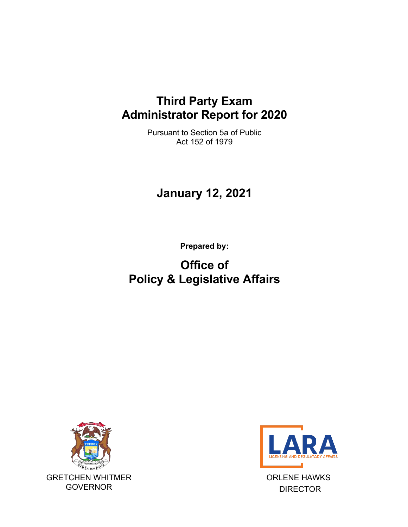### **Third Party Exam Administrator Report for 2020**

Pursuant to Section 5a of Public Act 152 of 1979

# **January 12, 2021**

**Prepared by:**

# **Office of Policy & Legislative Affairs**





ORLENE HAWKS DIRECTOR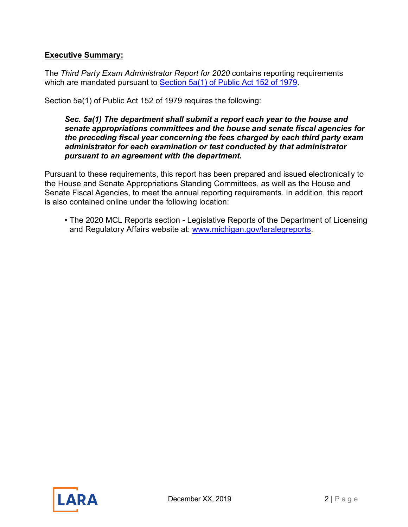#### **Executive Summary:**

The *Third Party Exam Administrator Report for 2020* contains reporting requirements which are mandated pursuant to [Section 5a\(1\) of Public](http://www.legislature.mi.gov/(S(yfgql5jzjssepm3qxw3g0qhd))/mileg.aspx?page=GetObject&objectname=mcl-338-2205a) Act 152 of 1979.

Section 5a(1) of Public Act 152 of 1979 requires the following:

#### *Sec. 5a(1) The department shall submit a report each year to the house and senate appropriations committees and the house and senate fiscal agencies for the preceding fiscal year concerning the fees charged by each third party exam administrator for each examination or test conducted by that administrator pursuant to an agreement with the department.*

Pursuant to these requirements, this report has been prepared and issued electronically to the House and Senate Appropriations Standing Committees, as well as the House and Senate Fiscal Agencies, to meet the annual reporting requirements. In addition, this report is also contained online under the following location:

• The 2020 MCL Reports section - Legislative Reports of the Department of Licensing and Regulatory Affairs website at: [www.michigan.gov/larale](http://www.michigan.gov/lara)greports.

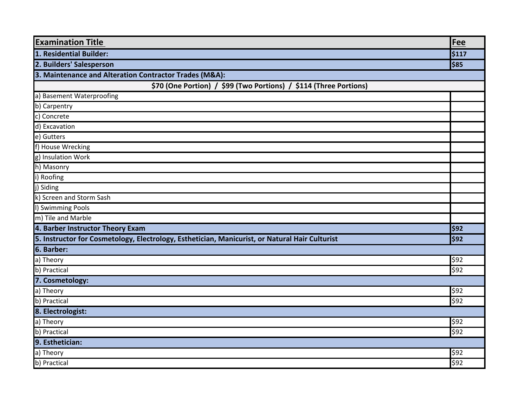| <b>Examination Title</b>                                                                       | Fee   |  |
|------------------------------------------------------------------------------------------------|-------|--|
| 1. Residential Builder:                                                                        | \$117 |  |
| 2. Builders' Salesperson                                                                       | \$85  |  |
| 3. Maintenance and Alteration Contractor Trades (M&A):                                         |       |  |
| \$70 (One Portion) / \$99 (Two Portions) / \$114 (Three Portions)                              |       |  |
| a) Basement Waterproofing                                                                      |       |  |
| b) Carpentry                                                                                   |       |  |
| c) Concrete                                                                                    |       |  |
| d) Excavation                                                                                  |       |  |
| e) Gutters                                                                                     |       |  |
| f) House Wrecking                                                                              |       |  |
| g) Insulation Work                                                                             |       |  |
| h) Masonry                                                                                     |       |  |
| i) Roofing                                                                                     |       |  |
| j) Siding                                                                                      |       |  |
| k) Screen and Storm Sash                                                                       |       |  |
| I) Swimming Pools                                                                              |       |  |
| m) Tile and Marble                                                                             |       |  |
| 4. Barber Instructor Theory Exam                                                               | \$92  |  |
| 5. Instructor for Cosmetology, Electrology, Esthetician, Manicurist, or Natural Hair Culturist | \$92  |  |
| 6. Barber:                                                                                     |       |  |
| a) Theory                                                                                      | \$92  |  |
| b) Practical                                                                                   | \$92  |  |
| 7. Cosmetology:                                                                                |       |  |
| a) Theory                                                                                      | \$92  |  |
| b) Practical                                                                                   | \$92  |  |
| 8. Electrologist:                                                                              |       |  |
| a) Theory                                                                                      | \$92  |  |
| b) Practical                                                                                   | \$92  |  |
| 9. Esthetician:                                                                                |       |  |
| a) Theory                                                                                      | \$92  |  |
| b) Practical                                                                                   | \$92  |  |